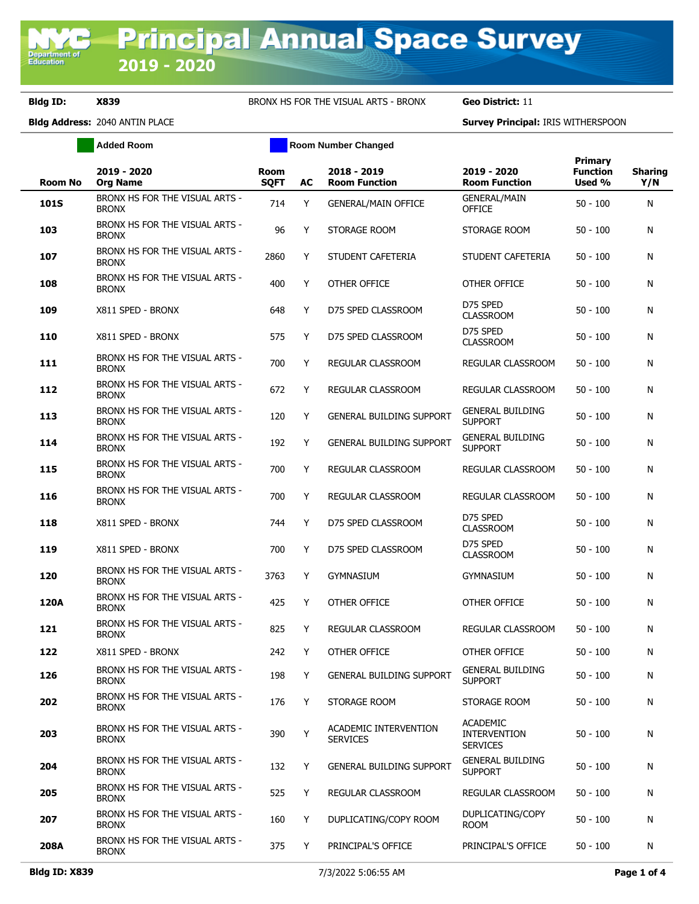Department o<br>Education

**Bldg ID: X839** BRONX HS FOR THE VISUAL ARTS - BRONX **Geo District:** 11

**Bldg Address:** 2040 ANTIN PLACE **Survey Principal:** IRIS WITHERSPOON

|                | <b>Added Room</b>                              |                            |    | <b>Room Number Changed</b>               |                                                           |                                             |                       |
|----------------|------------------------------------------------|----------------------------|----|------------------------------------------|-----------------------------------------------------------|---------------------------------------------|-----------------------|
| <b>Room No</b> | 2019 - 2020<br><b>Org Name</b>                 | <b>Room</b><br><b>SQFT</b> | AC | 2018 - 2019<br><b>Room Function</b>      | 2019 - 2020<br><b>Room Function</b>                       | <b>Primary</b><br><b>Function</b><br>Used % | <b>Sharing</b><br>Y/N |
| <b>101S</b>    | BRONX HS FOR THE VISUAL ARTS -<br><b>BRONX</b> | 714                        | Y  | <b>GENERAL/MAIN OFFICE</b>               | <b>GENERAL/MAIN</b><br><b>OFFICE</b>                      | 50 - 100                                    | N                     |
| 103            | BRONX HS FOR THE VISUAL ARTS -<br><b>BRONX</b> | 96                         | Y  | STORAGE ROOM                             | STORAGE ROOM                                              | $50 - 100$                                  | N                     |
| 107            | BRONX HS FOR THE VISUAL ARTS -<br><b>BRONX</b> | 2860                       | Y  | STUDENT CAFETERIA                        | STUDENT CAFETERIA                                         | $50 - 100$                                  | N                     |
| 108            | BRONX HS FOR THE VISUAL ARTS -<br><b>BRONX</b> | 400                        | Y  | <b>OTHER OFFICE</b>                      | OTHER OFFICE                                              | 50 - 100                                    | N                     |
| 109            | X811 SPED - BRONX                              | 648                        | Y  | D75 SPED CLASSROOM                       | D75 SPED<br><b>CLASSROOM</b>                              | 50 - 100                                    | N                     |
| 110            | X811 SPED - BRONX                              | 575                        | Y  | D75 SPED CLASSROOM                       | D75 SPED<br><b>CLASSROOM</b>                              | $50 - 100$                                  | N                     |
| 111            | BRONX HS FOR THE VISUAL ARTS -<br><b>BRONX</b> | 700                        | Y  | REGULAR CLASSROOM                        | REGULAR CLASSROOM                                         | $50 - 100$                                  | N                     |
| 112            | BRONX HS FOR THE VISUAL ARTS -<br><b>BRONX</b> | 672                        | Y  | REGULAR CLASSROOM                        | REGULAR CLASSROOM                                         | $50 - 100$                                  | N                     |
| 113            | BRONX HS FOR THE VISUAL ARTS -<br><b>BRONX</b> | 120                        | Y  | <b>GENERAL BUILDING SUPPORT</b>          | <b>GENERAL BUILDING</b><br><b>SUPPORT</b>                 | $50 - 100$                                  | N                     |
| 114            | BRONX HS FOR THE VISUAL ARTS -<br><b>BRONX</b> | 192                        | Y  | <b>GENERAL BUILDING SUPPORT</b>          | <b>GENERAL BUILDING</b><br><b>SUPPORT</b>                 | 50 - 100                                    | N                     |
| 115            | BRONX HS FOR THE VISUAL ARTS -<br><b>BRONX</b> | 700                        | Y  | REGULAR CLASSROOM                        | REGULAR CLASSROOM                                         | $50 - 100$                                  | N                     |
| 116            | BRONX HS FOR THE VISUAL ARTS -<br><b>BRONX</b> | 700                        | Y  | REGULAR CLASSROOM                        | REGULAR CLASSROOM                                         | $50 - 100$                                  | N                     |
| 118            | X811 SPED - BRONX                              | 744                        | Y  | D75 SPED CLASSROOM                       | D75 SPED<br><b>CLASSROOM</b>                              | 50 - 100                                    | N                     |
| 119            | X811 SPED - BRONX                              | 700                        | Y  | D75 SPED CLASSROOM                       | D75 SPED<br><b>CLASSROOM</b>                              | 50 - 100                                    | N                     |
| 120            | BRONX HS FOR THE VISUAL ARTS -<br><b>BRONX</b> | 3763                       | Y  | <b>GYMNASIUM</b>                         | <b>GYMNASIUM</b>                                          | $50 - 100$                                  | N                     |
| 120A           | BRONX HS FOR THE VISUAL ARTS -<br><b>BRONX</b> | 425                        | Y  | OTHER OFFICE                             | OTHER OFFICE                                              | $50 - 100$                                  | N                     |
| 121            | BRONX HS FOR THE VISUAL ARTS -<br><b>BRONX</b> | 825                        | Y  | REGULAR CLASSROOM                        | REGULAR CLASSROOM                                         | 50 - 100                                    | N                     |
| 122            | X811 SPED - BRONX                              | 242                        | Y  | OTHER OFFICE                             | OTHER OFFICE                                              | 50 - 100                                    | N                     |
| 126            | BRONX HS FOR THE VISUAL ARTS -<br><b>BRONX</b> | 198                        | Y  | <b>GENERAL BUILDING SUPPORT</b>          | <b>GENERAL BUILDING</b><br><b>SUPPORT</b>                 | $50 - 100$                                  | N                     |
| 202            | BRONX HS FOR THE VISUAL ARTS -<br><b>BRONX</b> | 176                        | Y  | STORAGE ROOM                             | STORAGE ROOM                                              | $50 - 100$                                  | N                     |
| 203            | BRONX HS FOR THE VISUAL ARTS -<br><b>BRONX</b> | 390                        | Y  | ACADEMIC INTERVENTION<br><b>SERVICES</b> | <b>ACADEMIC</b><br><b>INTERVENTION</b><br><b>SERVICES</b> | $50 - 100$                                  | N                     |
| 204            | BRONX HS FOR THE VISUAL ARTS -<br><b>BRONX</b> | 132                        | Y  | <b>GENERAL BUILDING SUPPORT</b>          | <b>GENERAL BUILDING</b><br><b>SUPPORT</b>                 | $50 - 100$                                  | N                     |
| 205            | BRONX HS FOR THE VISUAL ARTS -<br><b>BRONX</b> | 525                        | Y  | <b>REGULAR CLASSROOM</b>                 | <b>REGULAR CLASSROOM</b>                                  | 50 - 100                                    | N                     |
| 207            | BRONX HS FOR THE VISUAL ARTS -<br><b>BRONX</b> | 160                        | Y  | DUPLICATING/COPY ROOM                    | DUPLICATING/COPY<br>ROOM                                  | 50 - 100                                    | N                     |
| 208A           | BRONX HS FOR THE VISUAL ARTS -<br><b>BRONX</b> | 375                        | Y  | PRINCIPAL'S OFFICE                       | PRINCIPAL'S OFFICE                                        | $50 - 100$                                  | N                     |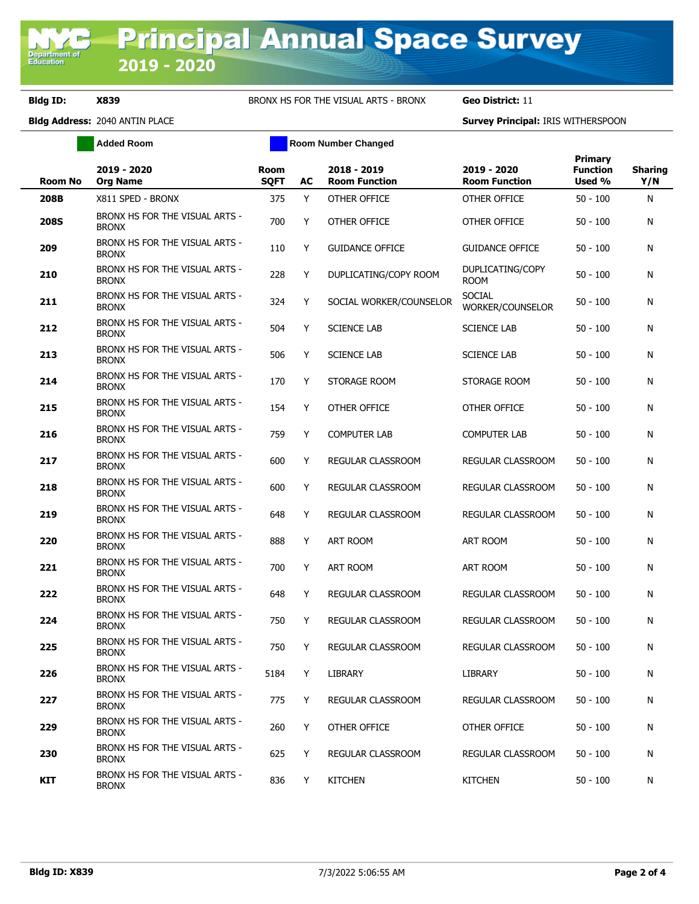**Bldg ID: X839** BRONX HS FOR THE VISUAL ARTS - BRONX **Geo District:** 11

**Bldg Address:** 2040 ANTIN PLACE **Survey Principal:** IRIS WITHERSPOON

|                | <b>Added Room</b>                              |                            | <b>Room Number Changed</b> |                                     |                                     |                                      |                       |
|----------------|------------------------------------------------|----------------------------|----------------------------|-------------------------------------|-------------------------------------|--------------------------------------|-----------------------|
| <b>Room No</b> | 2019 - 2020<br><b>Org Name</b>                 | <b>Room</b><br><b>SQFT</b> | <b>AC</b>                  | 2018 - 2019<br><b>Room Function</b> | 2019 - 2020<br><b>Room Function</b> | Primary<br><b>Function</b><br>Used % | <b>Sharing</b><br>Y/N |
| 208B           | X811 SPED - BRONX                              | 375                        | Y                          | OTHER OFFICE                        | OTHER OFFICE                        | $50 - 100$                           | N                     |
| <b>208S</b>    | BRONX HS FOR THE VISUAL ARTS -<br><b>BRONX</b> | 700                        | Y                          | OTHER OFFICE                        | OTHER OFFICE                        | $50 - 100$                           | N                     |
| 209            | BRONX HS FOR THE VISUAL ARTS -<br><b>BRONX</b> | 110                        | Y                          | <b>GUIDANCE OFFICE</b>              | <b>GUIDANCE OFFICE</b>              | $50 - 100$                           | N                     |
| 210            | BRONX HS FOR THE VISUAL ARTS -<br><b>BRONX</b> | 228                        | Υ                          | DUPLICATING/COPY ROOM               | DUPLICATING/COPY<br><b>ROOM</b>     | $50 - 100$                           | N                     |
| 211            | BRONX HS FOR THE VISUAL ARTS -<br><b>BRONX</b> | 324                        | Υ                          | SOCIAL WORKER/COUNSELOR             | <b>SOCIAL</b><br>WORKER/COUNSELOR   | $50 - 100$                           | N                     |
| 212            | BRONX HS FOR THE VISUAL ARTS -<br><b>BRONX</b> | 504                        | Y                          | <b>SCIENCE LAB</b>                  | <b>SCIENCE LAB</b>                  | $50 - 100$                           | N                     |
| 213            | BRONX HS FOR THE VISUAL ARTS -<br><b>BRONX</b> | 506                        | Y                          | <b>SCIENCE LAB</b>                  | <b>SCIENCE LAB</b>                  | $50 - 100$                           | N                     |
| 214            | BRONX HS FOR THE VISUAL ARTS -<br><b>BRONX</b> | 170                        | Y                          | STORAGE ROOM                        | STORAGE ROOM                        | $50 - 100$                           | N                     |
| 215            | BRONX HS FOR THE VISUAL ARTS -<br><b>BRONX</b> | 154                        | Y                          | OTHER OFFICE                        | OTHER OFFICE                        | $50 - 100$                           | N                     |
| 216            | BRONX HS FOR THE VISUAL ARTS -<br><b>BRONX</b> | 759                        | Y                          | <b>COMPUTER LAB</b>                 | <b>COMPUTER LAB</b>                 | $50 - 100$                           | N                     |
| 217            | BRONX HS FOR THE VISUAL ARTS -<br><b>BRONX</b> | 600                        | Y                          | <b>REGULAR CLASSROOM</b>            | REGULAR CLASSROOM                   | $50 - 100$                           | N                     |
| 218            | BRONX HS FOR THE VISUAL ARTS -<br><b>BRONX</b> | 600                        | Y                          | <b>REGULAR CLASSROOM</b>            | REGULAR CLASSROOM                   | $50 - 100$                           | N                     |
| 219            | BRONX HS FOR THE VISUAL ARTS -<br><b>BRONX</b> | 648                        | Y                          | REGULAR CLASSROOM                   | REGULAR CLASSROOM                   | $50 - 100$                           | N                     |
| 220            | BRONX HS FOR THE VISUAL ARTS -<br><b>BRONX</b> | 888                        | Y                          | <b>ART ROOM</b>                     | ART ROOM                            | $50 - 100$                           | N                     |
| 221            | BRONX HS FOR THE VISUAL ARTS -<br><b>BRONX</b> | 700                        | Y                          | ART ROOM                            | ART ROOM                            | $50 - 100$                           | N                     |
| 222            | BRONX HS FOR THE VISUAL ARTS -<br><b>BRONX</b> | 648                        | Y                          | REGULAR CLASSROOM                   | REGULAR CLASSROOM                   | $50 - 100$                           | N                     |
| 224            | BRONX HS FOR THE VISUAL ARTS -<br><b>BRONX</b> | 750                        | Y                          | REGULAR CLASSROOM                   | REGULAR CLASSROOM                   | $50 - 100$                           | N                     |
| 225            | BRONX HS FOR THE VISUAL ARTS -<br><b>BRONX</b> | 750                        | Y                          | REGULAR CLASSROOM                   | REGULAR CLASSROOM                   | $50 - 100$                           | N                     |
| 226            | BRONX HS FOR THE VISUAL ARTS -<br><b>BRONX</b> | 5184                       | Y                          | <b>LIBRARY</b>                      | <b>LIBRARY</b>                      | $50 - 100$                           | N                     |
| 227            | BRONX HS FOR THE VISUAL ARTS -<br><b>BRONX</b> | 775                        | Y                          | REGULAR CLASSROOM                   | REGULAR CLASSROOM                   | $50 - 100$                           | N                     |
| 229            | BRONX HS FOR THE VISUAL ARTS -<br><b>BRONX</b> | 260                        | Y                          | OTHER OFFICE                        | OTHER OFFICE                        | 50 - 100                             | N                     |
| 230            | BRONX HS FOR THE VISUAL ARTS -<br><b>BRONX</b> | 625                        | Y                          | REGULAR CLASSROOM                   | REGULAR CLASSROOM                   | 50 - 100                             | N                     |
| KIT            | BRONX HS FOR THE VISUAL ARTS -<br><b>BRONX</b> | 836                        | Y                          | <b>KITCHEN</b>                      | <b>KITCHEN</b>                      | $50 - 100$                           | N                     |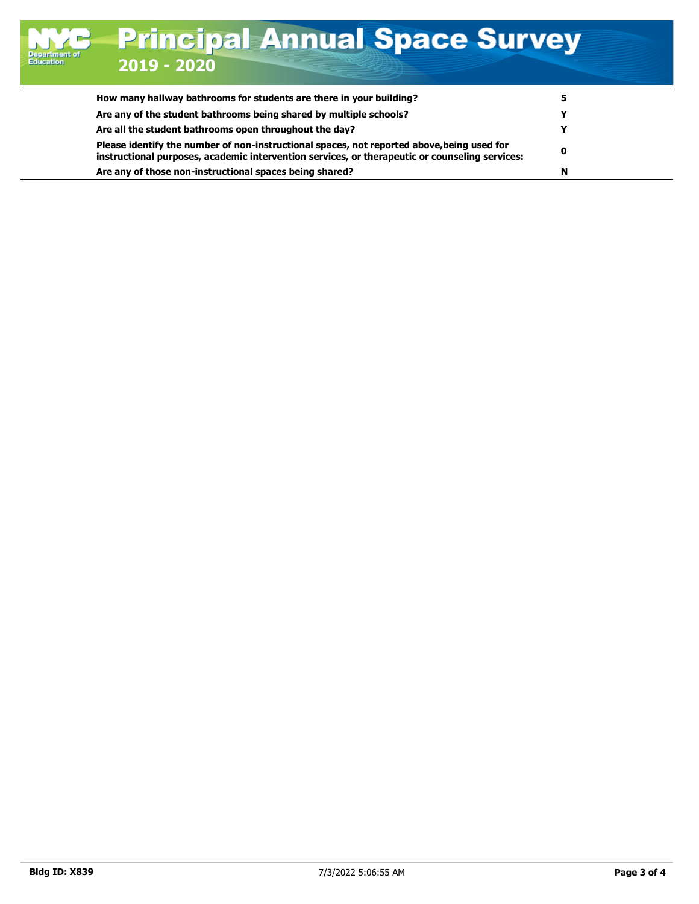| Are any of the student bathrooms being shared by multiple schools?                                                                                                                           |  |
|----------------------------------------------------------------------------------------------------------------------------------------------------------------------------------------------|--|
| Are all the student bathrooms open throughout the day?                                                                                                                                       |  |
| Please identify the number of non-instructional spaces, not reported above, being used for<br>instructional purposes, academic intervention services, or therapeutic or counseling services: |  |
| Are any of those non-instructional spaces being shared?                                                                                                                                      |  |